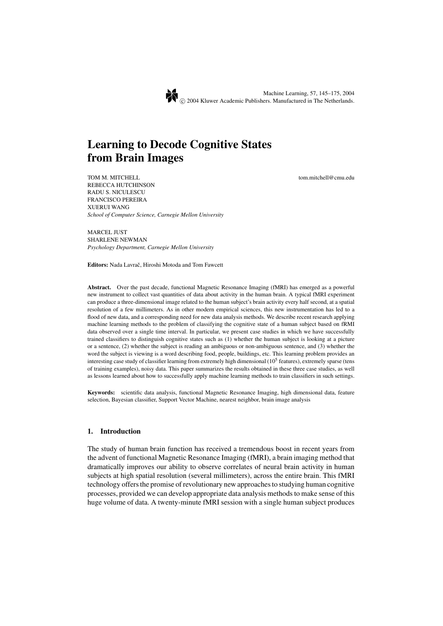# **Learning to Decode Cognitive States from Brain Images**

TOM M. MITCHELL tom.mitchell@cmu.edu REBECCA HUTCHINSON RADU S. NICULESCU FRANCISCO PEREIRA XUERUI WANG *School of Computer Science, Carnegie Mellon University*

MARCEL JUST SHARLENE NEWMAN *Psychology Department, Carnegie Mellon University*

Editors: Nada Lavrač, Hiroshi Motoda and Tom Fawcett

**Abstract.** Over the past decade, functional Magnetic Resonance Imaging (fMRI) has emerged as a powerful new instrument to collect vast quantities of data about activity in the human brain. A typical fMRI experiment can produce a three-dimensional image related to the human subject's brain activity every half second, at a spatial resolution of a few millimeters. As in other modern empirical sciences, this new instrumentation has led to a flood of new data, and a corresponding need for new data analysis methods. We describe recent research applying machine learning methods to the problem of classifying the cognitive state of a human subject based on fRMI data observed over a single time interval. In particular, we present case studies in which we have successfully trained classifiers to distinguish cognitive states such as (1) whether the human subject is looking at a picture or a sentence, (2) whether the subject is reading an ambiguous or non-ambiguous sentence, and (3) whether the word the subject is viewing is a word describing food, people, buildings, etc. This learning problem provides an interesting case study of classifier learning from extremely high dimensional (105 features), extremely sparse (tens of training examples), noisy data. This paper summarizes the results obtained in these three case studies, as well as lessons learned about how to successfully apply machine learning methods to train classifiers in such settings.

**Keywords:** scientific data analysis, functional Magnetic Resonance Imaging, high dimensional data, feature selection, Bayesian classifier, Support Vector Machine, nearest neighbor, brain image analysis

## **1. Introduction**

The study of human brain function has received a tremendous boost in recent years from the advent of functional Magnetic Resonance Imaging (fMRI), a brain imaging method that dramatically improves our ability to observe correlates of neural brain activity in human subjects at high spatial resolution (several millimeters), across the entire brain. This fMRI technology offers the promise of revolutionary new approaches to studying human cognitive processes, provided we can develop appropriate data analysis methods to make sense of this huge volume of data. A twenty-minute fMRI session with a single human subject produces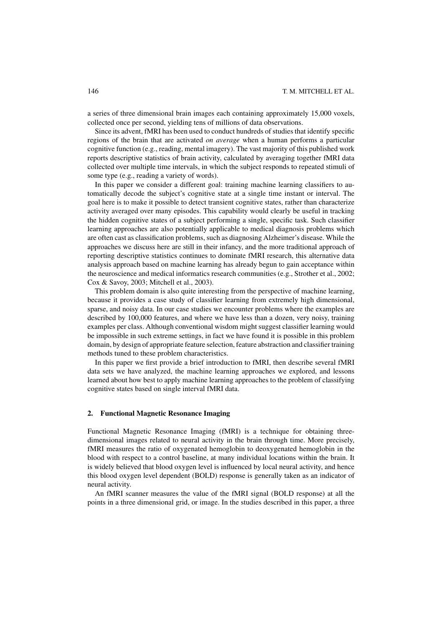a series of three dimensional brain images each containing approximately 15,000 voxels, collected once per second, yielding tens of millions of data observations.

Since its advent, fMRI has been used to conduct hundreds of studies that identify specific regions of the brain that are activated *on average* when a human performs a particular cognitive function (e.g., reading, mental imagery). The vast majority of this published work reports descriptive statistics of brain activity, calculated by averaging together fMRI data collected over multiple time intervals, in which the subject responds to repeated stimuli of some type (e.g., reading a variety of words).

In this paper we consider a different goal: training machine learning classifiers to automatically decode the subject's cognitive state at a single time instant or interval. The goal here is to make it possible to detect transient cognitive states, rather than characterize activity averaged over many episodes. This capability would clearly be useful in tracking the hidden cognitive states of a subject performing a single, specific task. Such classifier learning approaches are also potentially applicable to medical diagnosis problems which are often cast as classification problems, such as diagnosing Alzheimer's disease. While the approaches we discuss here are still in their infancy, and the more traditional approach of reporting descriptive statistics continues to dominate fMRI research, this alternative data analysis approach based on machine learning has already begun to gain acceptance within the neuroscience and medical informatics research communities (e.g., Strother et al., 2002; Cox & Savoy, 2003; Mitchell et al., 2003).

This problem domain is also quite interesting from the perspective of machine learning, because it provides a case study of classifier learning from extremely high dimensional, sparse, and noisy data. In our case studies we encounter problems where the examples are described by 100,000 features, and where we have less than a dozen, very noisy, training examples per class. Although conventional wisdom might suggest classifier learning would be impossible in such extreme settings, in fact we have found it is possible in this problem domain, by design of appropriate feature selection, feature abstraction and classifier training methods tuned to these problem characteristics.

In this paper we first provide a brief introduction to fMRI, then describe several fMRI data sets we have analyzed, the machine learning approaches we explored, and lessons learned about how best to apply machine learning approaches to the problem of classifying cognitive states based on single interval fMRI data.

# **2. Functional Magnetic Resonance Imaging**

Functional Magnetic Resonance Imaging (fMRI) is a technique for obtaining threedimensional images related to neural activity in the brain through time. More precisely, fMRI measures the ratio of oxygenated hemoglobin to deoxygenated hemoglobin in the blood with respect to a control baseline, at many individual locations within the brain. It is widely believed that blood oxygen level is influenced by local neural activity, and hence this blood oxygen level dependent (BOLD) response is generally taken as an indicator of neural activity.

An fMRI scanner measures the value of the fMRI signal (BOLD response) at all the points in a three dimensional grid, or image. In the studies described in this paper, a three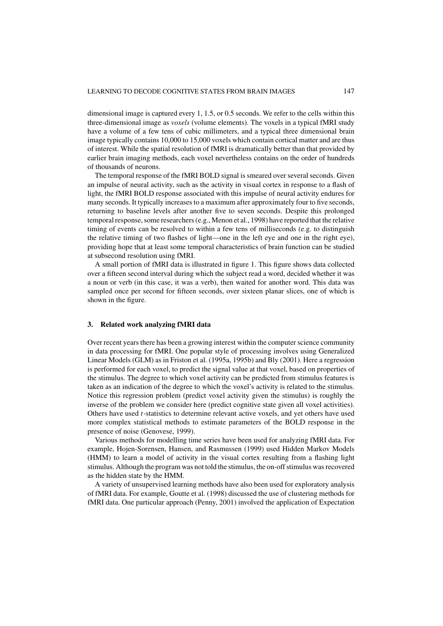dimensional image is captured every 1, 1.5, or 0.5 seconds. We refer to the cells within this three-dimensional image as *voxels* (volume elements). The voxels in a typical fMRI study have a volume of a few tens of cubic millimeters, and a typical three dimensional brain image typically contains 10,000 to 15,000 voxels which contain cortical matter and are thus of interest. While the spatial resolution of fMRI is dramatically better than that provided by earlier brain imaging methods, each voxel nevertheless contains on the order of hundreds of thousands of neurons.

The temporal response of the fMRI BOLD signal is smeared over several seconds. Given an impulse of neural activity, such as the activity in visual cortex in response to a flash of light, the fMRI BOLD response associated with this impulse of neural activity endures for many seconds. It typically increases to a maximum after approximately four to five seconds, returning to baseline levels after another five to seven seconds. Despite this prolonged temporal response, some researchers (e.g., Menon et al., 1998) have reported that the relative timing of events can be resolved to within a few tens of milliseconds (e.g. to distinguish the relative timing of two flashes of light—one in the left eye and one in the right eye), providing hope that at least some temporal characteristics of brain function can be studied at subsecond resolution using fMRI.

A small portion of fMRI data is illustrated in figure 1. This figure shows data collected over a fifteen second interval during which the subject read a word, decided whether it was a noun or verb (in this case, it was a verb), then waited for another word. This data was sampled once per second for fifteen seconds, over sixteen planar slices, one of which is shown in the figure.

#### **3. Related work analyzing fMRI data**

Over recent years there has been a growing interest within the computer science community in data processing for fMRI. One popular style of processing involves using Generalized Linear Models (GLM) as in Friston et al. (1995a, 1995b) and Bly (2001). Here a regression is performed for each voxel, to predict the signal value at that voxel, based on properties of the stimulus. The degree to which voxel activity can be predicted from stimulus features is taken as an indication of the degree to which the voxel's activity is related to the stimulus. Notice this regression problem (predict voxel activity given the stimulus) is roughly the inverse of the problem we consider here (predict cognitive state given all voxel activities). Others have used *t*-statistics to determine relevant active voxels, and yet others have used more complex statistical methods to estimate parameters of the BOLD response in the presence of noise (Genovese, 1999).

Various methods for modelling time series have been used for analyzing fMRI data. For example, Hojen-Sorensen, Hansen, and Rasmussen (1999) used Hidden Markov Models (HMM) to learn a model of activity in the visual cortex resulting from a flashing light stimulus. Although the program was not told the stimulus, the on-off stimulus was recovered as the hidden state by the HMM.

A variety of unsupervised learning methods have also been used for exploratory analysis of fMRI data. For example, Goutte et al. (1998) discussed the use of clustering methods for fMRI data. One particular approach (Penny, 2001) involved the application of Expectation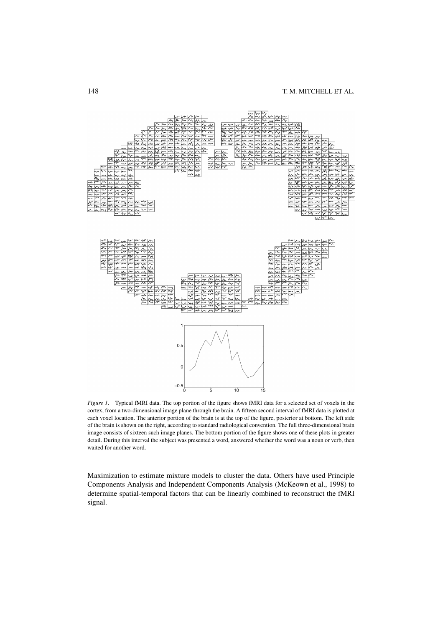

*Figure 1*. Typical fMRI data. The top portion of the figure shows fMRI data for a selected set of voxels in the cortex, from a two-dimensional image plane through the brain. A fifteen second interval of fMRI data is plotted at each voxel location. The anterior portion of the brain is at the top of the figure, posterior at bottom. The left side of the brain is shown on the right, according to standard radiological convention. The full three-dimensional brain image consists of sixteen such image planes. The bottom portion of the figure shows one of these plots in greater detail. During this interval the subject was presented a word, answered whether the word was a noun or verb, then waited for another word.

Maximization to estimate mixture models to cluster the data. Others have used Principle Components Analysis and Independent Components Analysis (McKeown et al., 1998) to determine spatial-temporal factors that can be linearly combined to reconstruct the fMRI signal.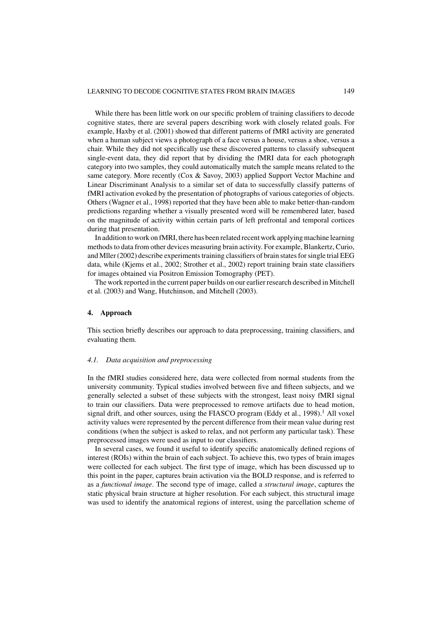While there has been little work on our specific problem of training classifiers to decode cognitive states, there are several papers describing work with closely related goals. For example, Haxby et al. (2001) showed that different patterns of fMRI activity are generated when a human subject views a photograph of a face versus a house, versus a shoe, versus a chair. While they did not specifically use these discovered patterns to classify subsequent single-event data, they did report that by dividing the fMRI data for each photograph category into two samples, they could automatically match the sample means related to the same category. More recently (Cox & Savoy, 2003) applied Support Vector Machine and Linear Discriminant Analysis to a similar set of data to successfully classify patterns of fMRI activation evoked by the presentation of photographs of various categories of objects. Others (Wagner et al., 1998) reported that they have been able to make better-than-random predictions regarding whether a visually presented word will be remembered later, based on the magnitude of activity within certain parts of left prefrontal and temporal cortices during that presentation.

In addition to work on fMRI, there has been related recent work applying machine learning methods to data from other devices measuring brain activity. For example, Blankertz, Curio, and Mller (2002) describe experiments training classifiers of brain states for single trial EEG data, while (Kjems et al., 2002; Strother et al., 2002) report training brain state classifiers for images obtained via Positron Emission Tomography (PET).

The work reported in the current paper builds on our earlier research described in Mitchell et al. (2003) and Wang, Hutchinson, and Mitchell (2003).

# **4. Approach**

This section briefly describes our approach to data preprocessing, training classifiers, and evaluating them.

#### *4.1. Data acquisition and preprocessing*

In the fMRI studies considered here, data were collected from normal students from the university community. Typical studies involved between five and fifteen subjects, and we generally selected a subset of these subjects with the strongest, least noisy fMRI signal to train our classifiers. Data were preprocessed to remove artifacts due to head motion, signal drift, and other sources, using the FIASCO program (Eddy et al.,  $1998$ ).<sup>1</sup> All voxel activity values were represented by the percent difference from their mean value during rest conditions (when the subject is asked to relax, and not perform any particular task). These preprocessed images were used as input to our classifiers.

In several cases, we found it useful to identify specific anatomically defined regions of interest (ROIs) within the brain of each subject. To achieve this, two types of brain images were collected for each subject. The first type of image, which has been discussed up to this point in the paper, captures brain activation via the BOLD response, and is referred to as a *functional image*. The second type of image, called a *structural image*, captures the static physical brain structure at higher resolution. For each subject, this structural image was used to identify the anatomical regions of interest, using the parcellation scheme of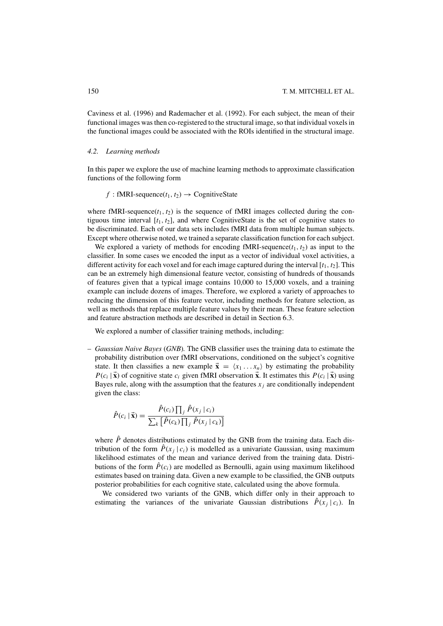Caviness et al. (1996) and Rademacher et al. (1992). For each subject, the mean of their functional images was then co-registered to the structural image, so that individual voxels in the functional images could be associated with the ROIs identified in the structural image.

## *4.2. Learning methods*

In this paper we explore the use of machine learning methods to approximate classification functions of the following form

$$
f: fMRI \cdot sequence(t_1, t_2) \rightarrow CognitiveState
$$

where fMRI-sequence $(t_1, t_2)$  is the sequence of fMRI images collected during the contiguous time interval  $[t_1, t_2]$ , and where CognitiveState is the set of cognitive states to be discriminated. Each of our data sets includes fMRI data from multiple human subjects. Except where otherwise noted, we trained a separate classification function for each subject.

We explored a variety of methods for encoding fMRI-sequence( $t_1, t_2$ ) as input to the classifier. In some cases we encoded the input as a vector of individual voxel activities, a different activity for each voxel and for each image captured during the interval  $[t_1, t_2]$ . This can be an extremely high dimensional feature vector, consisting of hundreds of thousands of features given that a typical image contains 10,000 to 15,000 voxels, and a training example can include dozens of images. Therefore, we explored a variety of approaches to reducing the dimension of this feature vector, including methods for feature selection, as well as methods that replace multiple feature values by their mean. These feature selection and feature abstraction methods are described in detail in Section 6.3.

We explored a number of classifier training methods, including:

– *Gaussian Naive Bayes* (*GNB*)*.* The GNB classifier uses the training data to estimate the probability distribution over fMRI observations, conditioned on the subject's cognitive state. It then classifies a new example  $\vec{x} = \langle x_1 ... x_n \rangle$  by estimating the probability  $P(c_i | \vec{x})$  of cognitive state  $c_i$  given fMRI observation  $\vec{x}$ . It estimates this  $P(c_i | \vec{x})$  using Bayes rule, along with the assumption that the features  $x_j$  are conditionally independent given the class:

$$
\hat{P}(c_i \mid \vec{\mathbf{x}}) = \frac{\hat{P}(c_i) \prod_j \hat{P}(x_j \mid c_i)}{\sum_k [\hat{P}(c_k) \prod_j \hat{P}(x_j \mid c_k)]}
$$

where  $\hat{P}$  denotes distributions estimated by the GNB from the training data. Each distribution of the form  $\hat{P}(x_j | c_i)$  is modelled as a univariate Gaussian, using maximum likelihood estimates of the mean and variance derived from the training data. Distributions of the form  $\hat{P}(c_i)$  are modelled as Bernoulli, again using maximum likelihood estimates based on training data. Given a new example to be classified, the GNB outputs posterior probabilities for each cognitive state, calculated using the above formula.

We considered two variants of the GNB, which differ only in their approach to estimating the variances of the univariate Gaussian distributions  $\hat{P}(x_i | c_i)$ . In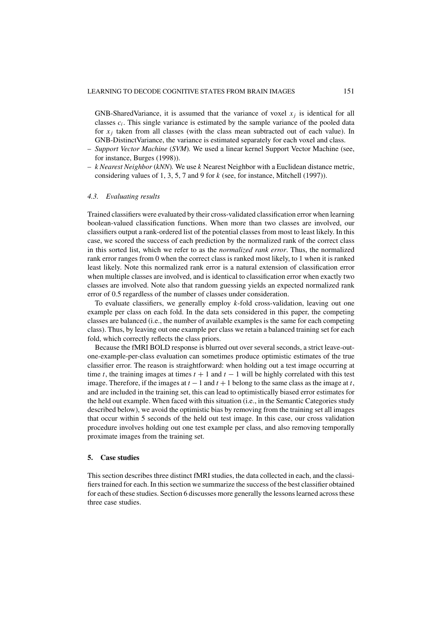GNB-SharedVariance, it is assumed that the variance of voxel  $x_i$  is identical for all classes  $c_i$ . This single variance is estimated by the sample variance of the pooled data for  $x_i$  taken from all classes (with the class mean subtracted out of each value). In GNB-DistinctVariance, the variance is estimated separately for each voxel and class.

- *Support Vector Machine* (*SVM*)*.* We used a linear kernel Support Vector Machine (see, for instance, Burges (1998)).
- *k Nearest Neighbor* (*kNN*)*.* We use *k* Nearest Neighbor with a Euclidean distance metric, considering values of 1, 3, 5, 7 and 9 for *k* (see, for instance, Mitchell (1997)).

#### *4.3. Evaluating results*

Trained classifiers were evaluated by their cross-validated classification error when learning boolean-valued classification functions. When more than two classes are involved, our classifiers output a rank-ordered list of the potential classes from most to least likely. In this case, we scored the success of each prediction by the normalized rank of the correct class in this sorted list, which we refer to as the *normalized rank error*. Thus, the normalized rank error ranges from 0 when the correct class is ranked most likely, to 1 when it is ranked least likely. Note this normalized rank error is a natural extension of classification error when multiple classes are involved, and is identical to classification error when exactly two classes are involved. Note also that random guessing yields an expected normalized rank error of 0.5 regardless of the number of classes under consideration.

To evaluate classifiers, we generally employ *k*-fold cross-validation, leaving out one example per class on each fold. In the data sets considered in this paper, the competing classes are balanced (i.e., the number of available examples is the same for each competing class). Thus, by leaving out one example per class we retain a balanced training set for each fold, which correctly reflects the class priors.

Because the fMRI BOLD response is blurred out over several seconds, a strict leave-outone-example-per-class evaluation can sometimes produce optimistic estimates of the true classifier error. The reason is straightforward: when holding out a test image occurring at time *t*, the training images at times  $t + 1$  and  $t - 1$  will be highly correlated with this test image. Therefore, if the images at  $t - 1$  and  $t + 1$  belong to the same class as the image at  $t$ , and are included in the training set, this can lead to optimistically biased error estimates for the held out example. When faced with this situation (i.e., in the Semantic Categories study described below), we avoid the optimistic bias by removing from the training set all images that occur within 5 seconds of the held out test image. In this case, our cross validation procedure involves holding out one test example per class, and also removing temporally proximate images from the training set.

#### **5. Case studies**

This section describes three distinct fMRI studies, the data collected in each, and the classifiers trained for each. In this section we summarize the success of the best classifier obtained for each of these studies. Section 6 discusses more generally the lessons learned across these three case studies.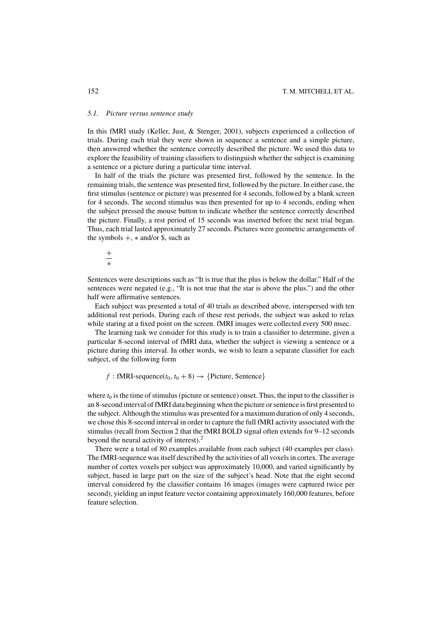#### *5.1. Picture versus sentence study*

In this fMRI study (Keller, Just, & Stenger, 2001), subjects experienced a collection of trials. During each trial they were shown in sequence a sentence and a simple picture, then answered whether the sentence correctly described the picture. We used this data to explore the feasibility of training classifiers to distinguish whether the subject is examining a sentence or a picture during a particular time interval.

In half of the trials the picture was presented first, followed by the sentence. In the remaining trials, the sentence was presented first, followed by the picture. In either case, the first stimulus (sentence or picture) was presented for 4 seconds, followed by a blank screen for 4 seconds. The second stimulus was then presented for up to 4 seconds, ending when the subject pressed the mouse button to indicate whether the sentence correctly described the picture. Finally, a rest period of 15 seconds was inserted before the next trial began. Thus, each trial lasted approximately 27 seconds. Pictures were geometric arrangements of the symbols  $+$ ,  $*$  and/or \$, such as

$$
\frac{+}{}
$$

∗

Sentences were descriptions such as "It is true that the plus is below the dollar." Half of the sentences were negated (e.g., "It is not true that the star is above the plus.") and the other half were affirmative sentences.

Each subject was presented a total of 40 trials as described above, interspersed with ten additional rest periods. During each of these rest periods, the subject was asked to relax while staring at a fixed point on the screen. fMRI images were collected every 500 msec.

The learning task we consider for this study is to train a classifier to determine, given a particular 8-second interval of fMRI data, whether the subject is viewing a sentence or a picture during this interval. In other words, we wish to learn a separate classifier for each subject, of the following form

*f* : fMRI-sequence( $t_0$ ,  $t_0$  + 8)  $\rightarrow$  {Picture, Sentence}

where  $t_0$  is the time of stimulus (picture or sentence) onset. Thus, the input to the classifier is an 8-second interval of fMRI data beginning when the picture or sentence is first presented to the subject. Although the stimulus was presented for a maximum duration of only 4 seconds, we chose this 8-second interval in order to capture the full fMRI activity associated with the stimulus (recall from Section 2 that the fMRI BOLD signal often extends for 9–12 seconds beyond the neural activity of interest).<sup>2</sup>

There were a total of 80 examples available from each subject (40 examples per class). The fMRI-sequence was itself described by the activities of all voxels in cortex. The average number of cortex voxels per subject was approximately 10,000, and varied significantly by subject, based in large part on the size of the subject's head. Note that the eight second interval considered by the classifier contains 16 images (images were captured twice per second), yielding an input feature vector containing approximately 160,000 features, before feature selection.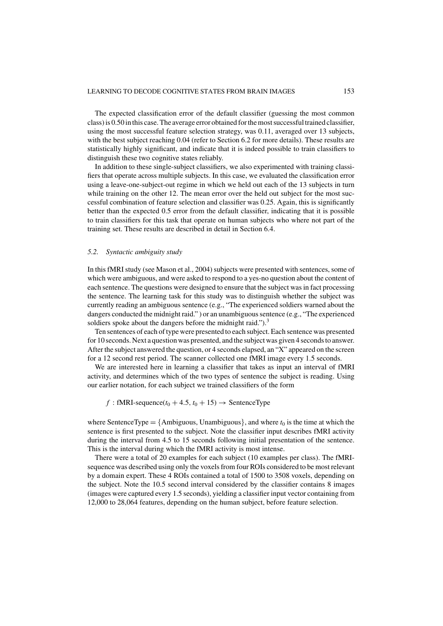The expected classification error of the default classifier (guessing the most common class) is 0.50 in this case. The average error obtained for the most successful trained classifier, using the most successful feature selection strategy, was 0.11, averaged over 13 subjects, with the best subject reaching 0.04 (refer to Section 6.2 for more details). These results are statistically highly significant, and indicate that it is indeed possible to train classifiers to distinguish these two cognitive states reliably.

In addition to these single-subject classifiers, we also experimented with training classifiers that operate across multiple subjects. In this case, we evaluated the classification error using a leave-one-subject-out regime in which we held out each of the 13 subjects in turn while training on the other 12. The mean error over the held out subject for the most successful combination of feature selection and classifier was 0.25. Again, this is significantly better than the expected 0.5 error from the default classifier, indicating that it is possible to train classifiers for this task that operate on human subjects who where not part of the training set. These results are described in detail in Section 6.4.

## *5.2. Syntactic ambiguity study*

In this fMRI study (see Mason et al., 2004) subjects were presented with sentences, some of which were ambiguous, and were asked to respond to a yes-no question about the content of each sentence. The questions were designed to ensure that the subject was in fact processing the sentence. The learning task for this study was to distinguish whether the subject was currently reading an ambiguous sentence (e.g., "The experienced soldiers warned about the dangers conducted the midnight raid." ) or an unambiguous sentence (e.g., "The experienced soldiers spoke about the dangers before the midnight raid." $)^3$ 

Ten sentences of each of type were presented to each subject. Each sentence was presented for 10 seconds. Next a question was presented, and the subject was given 4 seconds to answer. After the subject answered the question, or 4 seconds elapsed, an "X" appeared on the screen for a 12 second rest period. The scanner collected one fMRI image every 1.5 seconds.

We are interested here in learning a classifier that takes as input an interval of fMRI activity, and determines which of the two types of sentence the subject is reading. Using our earlier notation, for each subject we trained classifiers of the form

*f* : fMRI-sequence( $t_0$  + 4.5,  $t_0$  + 15)  $\rightarrow$  SentenceType

where SentenceType =  $\{Ambiguous, Unambiguous\}$ , and where  $t_0$  is the time at which the sentence is first presented to the subject. Note the classifier input describes fMRI activity during the interval from 4.5 to 15 seconds following initial presentation of the sentence. This is the interval during which the fMRI activity is most intense.

There were a total of 20 examples for each subject (10 examples per class). The fMRIsequence was described using only the voxels from four ROIs considered to be most relevant by a domain expert. These 4 ROIs contained a total of 1500 to 3508 voxels, depending on the subject. Note the 10.5 second interval considered by the classifier contains 8 images (images were captured every 1.5 seconds), yielding a classifier input vector containing from 12,000 to 28,064 features, depending on the human subject, before feature selection.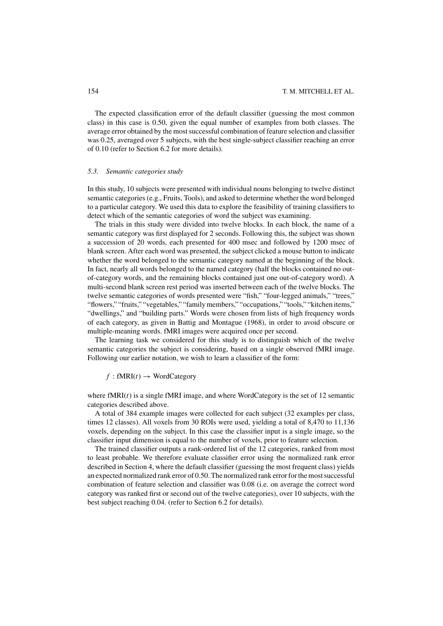The expected classification error of the default classifier (guessing the most common class) in this case is 0.50, given the equal number of examples from both classes. The average error obtained by the most successful combination of feature selection and classifier was 0.25, averaged over 5 subjects, with the best single-subject classifier reaching an error of 0.10 (refer to Section 6.2 for more details).

#### *5.3. Semantic categories study*

In this study, 10 subjects were presented with individual nouns belonging to twelve distinct semantic categories (e.g., Fruits, Tools), and asked to determine whether the word belonged to a particular category. We used this data to explore the feasibility of training classifiers to detect which of the semantic categories of word the subject was examining.

The trials in this study were divided into twelve blocks. In each block, the name of a semantic category was first displayed for 2 seconds. Following this, the subject was shown a succession of 20 words, each presented for 400 msec and followed by 1200 msec of blank screen. After each word was presented, the subject clicked a mouse button to indicate whether the word belonged to the semantic category named at the beginning of the block. In fact, nearly all words belonged to the named category (half the blocks contained no outof-category words, and the remaining blocks contained just one out-of-category word). A multi-second blank screen rest period was inserted between each of the twelve blocks. The twelve semantic categories of words presented were "fish," "four-legged animals," "trees," "flowers," "fruits," "vegetables," "family members," "occupations," "tools," "kitchen items," "dwellings," and "building parts." Words were chosen from lists of high frequency words of each category, as given in Battig and Montague (1968), in order to avoid obscure or multiple-meaning words. fMRI images were acquired once per second.

The learning task we considered for this study is to distinguish which of the twelve semantic categories the subject is considering, based on a single observed fMRI image. Following our earlier notation, we wish to learn a classifier of the form:

#### $f : fMRI(t) \rightarrow WordCategory$

where  $fMRI(t)$  is a single fMRI image, and where WordCategory is the set of 12 semantic categories described above.

A total of 384 example images were collected for each subject (32 examples per class, times 12 classes). All voxels from 30 ROIs were used, yielding a total of 8,470 to 11,136 voxels, depending on the subject. In this case the classifier input is a single image, so the classifier input dimension is equal to the number of voxels, prior to feature selection.

The trained classifier outputs a rank-ordered list of the 12 categories, ranked from most to least probable. We therefore evaluate classifier error using the normalized rank error described in Section 4, where the default classifier (guessing the most frequent class) yields an expected normalized rank error of 0.50. The normalized rank error for the most successful combination of feature selection and classifier was 0.08 (i.e. on average the correct word category was ranked first or second out of the twelve categories), over 10 subjects, with the best subject reaching 0.04. (refer to Section 6.2 for details).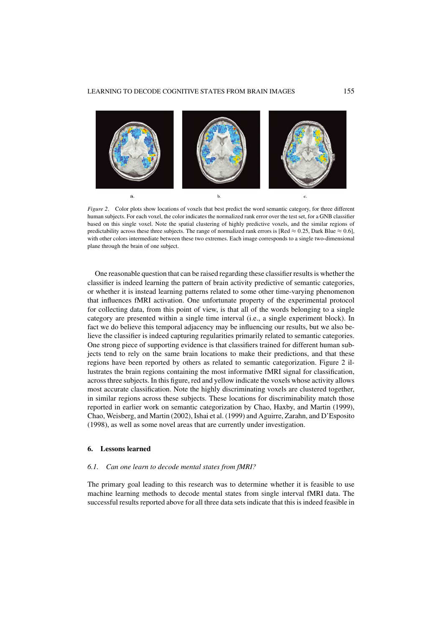

*Figure 2.* Color plots show locations of voxels that best predict the word semantic category, for three different human subjects. For each voxel, the color indicates the normalized rank error over the test set, for a GNB classifier based on this single voxel. Note the spatial clustering of highly predictive voxels, and the similar regions of predictability across these three subjects. The range of normalized rank errors is [Red  $\approx 0.25$ , Dark Blue  $\approx 0.6$ ], with other colors intermediate between these two extremes. Each image corresponds to a single two-dimensional plane through the brain of one subject.

One reasonable question that can be raised regarding these classifier results is whether the classifier is indeed learning the pattern of brain activity predictive of semantic categories, or whether it is instead learning patterns related to some other time-varying phenomenon that influences fMRI activation. One unfortunate property of the experimental protocol for collecting data, from this point of view, is that all of the words belonging to a single category are presented within a single time interval (i.e., a single experiment block). In fact we do believe this temporal adjacency may be influencing our results, but we also believe the classifier is indeed capturing regularities primarily related to semantic categories. One strong piece of supporting evidence is that classifiers trained for different human subjects tend to rely on the same brain locations to make their predictions, and that these regions have been reported by others as related to semantic categorization. Figure 2 illustrates the brain regions containing the most informative fMRI signal for classification, across three subjects. In this figure, red and yellow indicate the voxels whose activity allows most accurate classification. Note the highly discriminating voxels are clustered together, in similar regions across these subjects. These locations for discriminability match those reported in earlier work on semantic categorization by Chao, Haxby, and Martin (1999), Chao, Weisberg, and Martin (2002), Ishai et al. (1999) and Aguirre, Zarahn, and D'Esposito (1998), as well as some novel areas that are currently under investigation.

## **6. Lessons learned**

#### *6.1. Can one learn to decode mental states from fMRI?*

The primary goal leading to this research was to determine whether it is feasible to use machine learning methods to decode mental states from single interval fMRI data. The successful results reported above for all three data sets indicate that this is indeed feasible in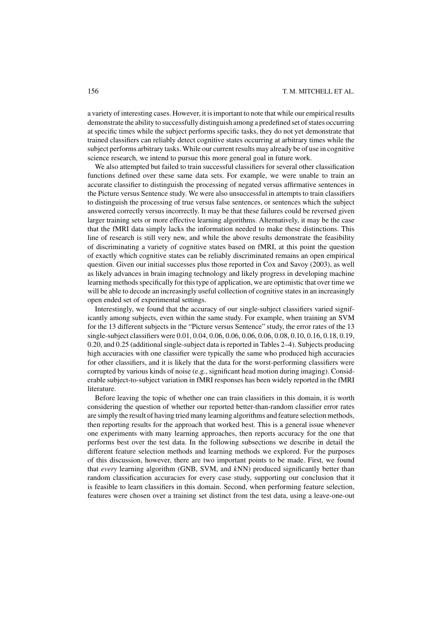a variety of interesting cases. However, it is important to note that while our empirical results demonstrate the ability to successfully distinguish among a predefined set of states occurring at specific times while the subject performs specific tasks, they do not yet demonstrate that trained classifiers can reliably detect cognitive states occurring at arbitrary times while the subject performs arbitrary tasks. While our current results may already be of use in cognitive science research, we intend to pursue this more general goal in future work.

We also attempted but failed to train successful classifiers for several other classification functions defined over these same data sets. For example, we were unable to train an accurate classifier to distinguish the processing of negated versus affirmative sentences in the Picture versus Sentence study. We were also unsuccessful in attempts to train classifiers to distinguish the processing of true versus false sentences, or sentences which the subject answered correctly versus incorrectly. It may be that these failures could be reversed given larger training sets or more effective learning algorithms. Alternatively, it may be the case that the fMRI data simply lacks the information needed to make these distinctions. This line of research is still very new, and while the above results demonstrate the feasibility of discriminating a variety of cognitive states based on fMRI, at this point the question of exactly which cognitive states can be reliably discriminated remains an open empirical question. Given our initial successes plus those reported in Cox and Savoy (2003), as well as likely advances in brain imaging technology and likely progress in developing machine learning methods specifically for this type of application, we are optimistic that over time we will be able to decode an increasingly useful collection of cognitive states in an increasingly open ended set of experimental settings.

Interestingly, we found that the accuracy of our single-subject classifiers varied significantly among subjects, even within the same study. For example, when training an SVM for the 13 different subjects in the "Picture versus Sentence" study, the error rates of the 13 single-subject classifiers were 0.01, 0.04, 0.06, 0.06, 0.06, 0.06, 0.08, 0.10, 0.16, 0.18, 0.19, 0.20, and 0.25 (additional single-subject data is reported in Tables 2–4). Subjects producing high accuracies with one classifier were typically the same who produced high accuracies for other classifiers, and it is likely that the data for the worst-performing classifiers were corrupted by various kinds of noise (e.g., significant head motion during imaging). Considerable subject-to-subject variation in fMRI responses has been widely reported in the fMRI literature.

Before leaving the topic of whether one can train classifiers in this domain, it is worth considering the question of whether our reported better-than-random classifier error rates are simply the result of having tried many learning algorithms and feature selection methods, then reporting results for the approach that worked best. This is a general issue whenever one experiments with many learning approaches, then reports accuracy for the one that performs best over the test data. In the following subsections we describe in detail the different feature selection methods and learning methods we explored. For the purposes of this discussion, however, there are two important points to be made. First, we found that *every* learning algorithm (GNB, SVM, and *k*NN) produced significantly better than random classification accuracies for every case study, supporting our conclusion that it is feasible to learn classifiers in this domain. Second, when performing feature selection, features were chosen over a training set distinct from the test data, using a leave-one-out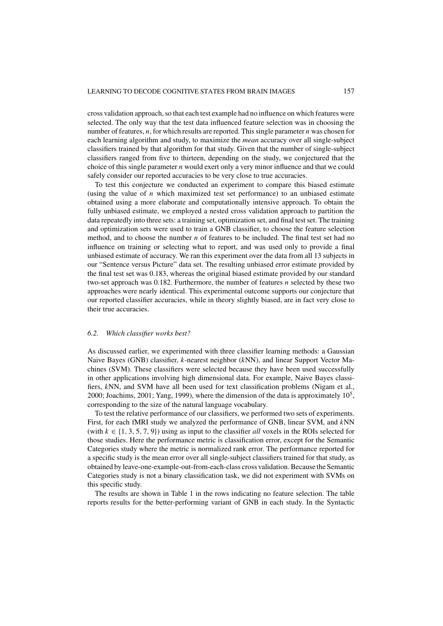cross validation approach, so that each test example had no influence on which features were selected. The only way that the test data influenced feature selection was in choosing the number of features, *n*, for which results are reported. This single parameter *n* was chosen for each learning algorithm and study, to maximize the *mean* accuracy over all single-subject classifiers trained by that algorithm for that study. Given that the number of single-subject classifiers ranged from five to thirteen, depending on the study, we conjectured that the choice of this single parameter *n* would exert only a very minor influence and that we could safely consider our reported accuracies to be very close to true accuracies.

To test this conjecture we conducted an experiment to compare this biased estimate (using the value of *n* which maximized test set performance) to an unbiased estimate obtained using a more elaborate and computationally intensive approach. To obtain the fully unbiased estimate, we employed a nested cross validation approach to partition the data repeatedly into three sets: a training set, optimization set, and final test set. The training and optimization sets were used to train a GNB classifier, to choose the feature selection method, and to choose the number *n* of features to be included. The final test set had no influence on training or selecting what to report, and was used only to provide a final unbiased estimate of accuracy. We ran this experiment over the data from all 13 subjects in our "Sentence versus Picture" data set. The resulting unbiased error estimate provided by the final test set was 0.183, whereas the original biased estimate provided by our standard two-set approach was 0.182. Furthermore, the number of features *n* selected by these two approaches were nearly identical. This experimental outcome supports our conjecture that our reported classifier accuracies, while in theory slightly biased, are in fact very close to their true accuracies.

#### *6.2. Which classifier works best?*

As discussed earlier, we experimented with three classifier learning methods: a Gaussian Naive Bayes (GNB) classifier, *k*-nearest neighbor (*k*NN), and linear Support Vector Machines (SVM). These classifiers were selected because they have been used successfully in other applications involving high dimensional data. For example, Naive Bayes classifiers, *k*NN, and SVM have all been used for text classification problems (Nigam et al., 2000; Joachims, 2001; Yang, 1999), where the dimension of the data is approximately  $10<sup>5</sup>$ , corresponding to the size of the natural language vocabulary.

To test the relative performance of our classifiers, we performed two sets of experiments. First, for each fMRI study we analyzed the performance of GNB, linear SVM, and *k*NN (with  $k \in \{1, 3, 5, 7, 9\}$ ) using as input to the classifier *all* voxels in the ROIs selected for those studies. Here the performance metric is classification error, except for the Semantic Categories study where the metric is normalized rank error. The performance reported for a specific study is the mean error over all single-subject classifiers trained for that study, as obtained by leave-one-example-out-from-each-class cross validation. Because the Semantic Categories study is not a binary classification task, we did not experiment with SVMs on this specific study.

The results are shown in Table 1 in the rows indicating no feature selection. The table reports results for the better-performing variant of GNB in each study. In the Syntactic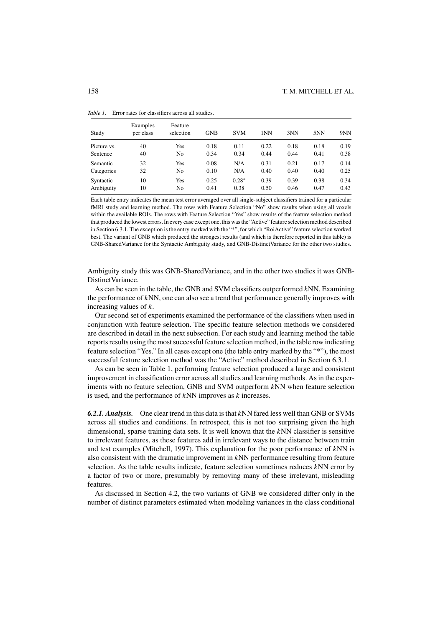| Study              | Examples<br>per class | Feature<br>selection | <b>GNB</b> | <b>SVM</b> | 1NN  | 3NN  | 5NN  | 9NN  |
|--------------------|-----------------------|----------------------|------------|------------|------|------|------|------|
| Picture <i>vs.</i> | 40                    | Yes                  | 0.18       | 0.11       | 0.22 | 0.18 | 0.18 | 0.19 |
| Sentence           | 40                    | No                   | 0.34       | 0.34       | 0.44 | 0.44 | 0.41 | 0.38 |
| Semantic           | 32                    | Yes                  | 0.08       | N/A        | 0.31 | 0.21 | 0.17 | 0.14 |
| Categories         | 32                    | No                   | 0.10       | N/A        | 0.40 | 0.40 | 0.40 | 0.25 |
| Syntactic          | 10                    | Yes                  | 0.25       | $0.28*$    | 0.39 | 0.39 | 0.38 | 0.34 |
| Ambiguity          | 10                    | No                   | 0.41       | 0.38       | 0.50 | 0.46 | 0.47 | 0.43 |

*Table 1*. Error rates for classifiers across all studies.

Each table entry indicates the mean test error averaged over all single-subject classifiers trained for a particular fMRI study and learning method. The rows with Feature Selection "No" show results when using all voxels within the available ROIs. The rows with Feature Selection "Yes" show results of the feature selection method that produced the lowest errors. In every case except one, this was the "Active" feature selection method described in Section 6.3.1. The exception is the entry marked with the "\*", for which "RoiActive" feature selection worked best. The variant of GNB which produced the strongest results (and which is therefore reported in this table) is GNB-SharedVariance for the Syntactic Ambiguity study, and GNB-DistinctVariance for the other two studies.

Ambiguity study this was GNB-SharedVariance, and in the other two studies it was GNB-DistinctVariance.

As can be seen in the table, the GNB and SVM classifiers outperformed *k*NN. Examining the performance of *k*NN, one can also see a trend that performance generally improves with increasing values of *k*.

Our second set of experiments examined the performance of the classifiers when used in conjunction with feature selection. The specific feature selection methods we considered are described in detail in the next subsection. For each study and learning method the table reports results using the most successful feature selection method, in the table row indicating feature selection "Yes." In all cases except one (the table entry marked by the "\*"), the most successful feature selection method was the "Active" method described in Section 6.3.1.

As can be seen in Table 1, performing feature selection produced a large and consistent improvement in classification error across all studies and learning methods. As in the experiments with no feature selection, GNB and SVM outperform *k*NN when feature selection is used, and the performance of *k*NN improves as *k* increases.

*6.2.1. Analysis.* One clear trend in this data is that *k*NN fared less well than GNB or SVMs across all studies and conditions. In retrospect, this is not too surprising given the high dimensional, sparse training data sets. It is well known that the *k*NN classifier is sensitive to irrelevant features, as these features add in irrelevant ways to the distance between train and test examples (Mitchell, 1997). This explanation for the poor performance of *k*NN is also consistent with the dramatic improvement in *k*NN performance resulting from feature selection. As the table results indicate, feature selection sometimes reduces *k*NN error by a factor of two or more, presumably by removing many of these irrelevant, misleading features.

As discussed in Section 4.2, the two variants of GNB we considered differ only in the number of distinct parameters estimated when modeling variances in the class conditional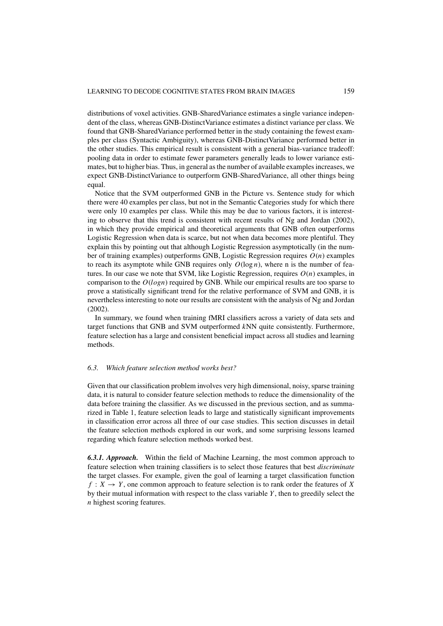distributions of voxel activities. GNB-SharedVariance estimates a single variance independent of the class, whereas GNB-DistinctVariance estimates a distinct variance per class. We found that GNB-SharedVariance performed better in the study containing the fewest examples per class (Syntactic Ambiguity), whereas GNB-DistinctVariance performed better in the other studies. This empirical result is consistent with a general bias-variance tradeoff: pooling data in order to estimate fewer parameters generally leads to lower variance estimates, but to higher bias. Thus, in general as the number of available examples increases, we expect GNB-DistinctVariance to outperform GNB-SharedVariance, all other things being equal.

Notice that the SVM outperformed GNB in the Picture vs. Sentence study for which there were 40 examples per class, but not in the Semantic Categories study for which there were only 10 examples per class. While this may be due to various factors, it is interesting to observe that this trend is consistent with recent results of Ng and Jordan (2002), in which they provide empirical and theoretical arguments that GNB often outperforms Logistic Regression when data is scarce, but not when data becomes more plentiful. They explain this by pointing out that although Logistic Regression asymptotically (in the number of training examples) outperforms GNB, Logistic Regression requires *O*(*n*) examples to reach its asymptote while GNB requires only  $O(\log n)$ , where n is the number of features. In our case we note that SVM, like Logistic Regression, requires  $O(n)$  examples, in comparison to the *O*(*logn*) required by GNB. While our empirical results are too sparse to prove a statistically significant trend for the relative performance of SVM and GNB, it is nevertheless interesting to note our results are consistent with the analysis of Ng and Jordan (2002).

In summary, we found when training fMRI classifiers across a variety of data sets and target functions that GNB and SVM outperformed *k*NN quite consistently. Furthermore, feature selection has a large and consistent beneficial impact across all studies and learning methods.

## *6.3. Which feature selection method works best?*

Given that our classification problem involves very high dimensional, noisy, sparse training data, it is natural to consider feature selection methods to reduce the dimensionality of the data before training the classifier. As we discussed in the previous section, and as summarized in Table 1, feature selection leads to large and statistically significant improvements in classification error across all three of our case studies. This section discusses in detail the feature selection methods explored in our work, and some surprising lessons learned regarding which feature selection methods worked best.

*6.3.1. Approach.* Within the field of Machine Learning, the most common approach to feature selection when training classifiers is to select those features that best *discriminate* the target classes. For example, given the goal of learning a target classification function  $f: X \to Y$ , one common approach to feature selection is to rank order the features of X by their mutual information with respect to the class variable *Y* , then to greedily select the *n* highest scoring features.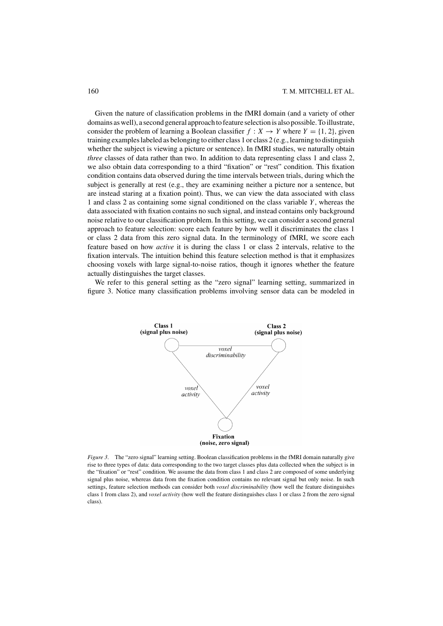Given the nature of classification problems in the fMRI domain (and a variety of other domains as well), a second general approach to feature selection is also possible. To illustrate, consider the problem of learning a Boolean classifier  $f : X \to Y$  where  $Y = \{1, 2\}$ , given training examples labeled as belonging to either class 1 or class 2 (e.g., learning to distinguish whether the subject is viewing a picture or sentence). In fMRI studies, we naturally obtain *three* classes of data rather than two. In addition to data representing class 1 and class 2, we also obtain data corresponding to a third "fixation" or "rest" condition. This fixation condition contains data observed during the time intervals between trials, during which the subject is generally at rest (e.g., they are examining neither a picture nor a sentence, but are instead staring at a fixation point). Thus, we can view the data associated with class 1 and class 2 as containing some signal conditioned on the class variable *Y* , whereas the data associated with fixation contains no such signal, and instead contains only background noise relative to our classification problem. In this setting, we can consider a second general approach to feature selection: score each feature by how well it discriminates the class 1 or class 2 data from this zero signal data. In the terminology of fMRI, we score each feature based on how *active* it is during the class 1 or class 2 intervals, relative to the fixation intervals. The intuition behind this feature selection method is that it emphasizes choosing voxels with large signal-to-noise ratios, though it ignores whether the feature actually distinguishes the target classes.

We refer to this general setting as the "zero signal" learning setting, summarized in figure 3. Notice many classification problems involving sensor data can be modeled in



*Figure 3*. The "zero signal" learning setting. Boolean classification problems in the fMRI domain naturally give rise to three types of data: data corresponding to the two target classes plus data collected when the subject is in the "fixation" or "rest" condition. We assume the data from class 1 and class 2 are composed of some underlying signal plus noise, whereas data from the fixation condition contains no relevant signal but only noise. In such settings, feature selection methods can consider both *voxel discriminability* (how well the feature distinguishes class 1 from class 2), and *voxel activity* (how well the feature distinguishes class 1 or class 2 from the zero signal class).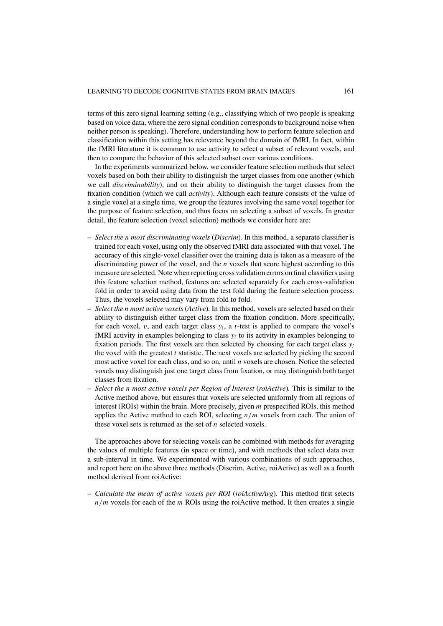terms of this zero signal learning setting (e.g., classifying which of two people is speaking based on voice data, where the zero signal condition corresponds to background noise when neither person is speaking). Therefore, understanding how to perform feature selection and classification within this setting has relevance beyond the domain of fMRI. In fact, within the fMRI literature it is common to use activity to select a subset of relevant voxels, and then to compare the behavior of this selected subset over various conditions.

In the experiments summarized below, we consider feature selection methods that select voxels based on both their ability to distinguish the target classes from one another (which we call *discriminability*), and on their ability to distinguish the target classes from the fixation condition (which we call *activity*). Although each feature consists of the value of a single voxel at a single time, we group the features involving the same voxel together for the purpose of feature selection, and thus focus on selecting a subset of voxels. In greater detail, the feature selection (voxel selection) methods we consider here are:

- *Select the n most discriminating voxels* (*Discrim*)*.* In this method, a separate classifier is trained for each voxel, using only the observed fMRI data associated with that voxel. The accuracy of this single-voxel classifier over the training data is taken as a measure of the discriminating power of the voxel, and the *n* voxels that score highest according to this measure are selected. Note when reporting cross validation errors on final classifiers using this feature selection method, features are selected separately for each cross-validation fold in order to avoid using data from the test fold during the feature selection process. Thus, the voxels selected may vary from fold to fold.
- *Select the n most active voxels* (*Active*)*.* In this method, voxels are selected based on their ability to distinguish either target class from the fixation condition. More specifically, for each voxel,  $v$ , and each target class  $y_i$ , a *t*-test is applied to compare the voxel's fMRI activity in examples belonging to class *yi* to its activity in examples belonging to fixation periods. The first voxels are then selected by choosing for each target class  $y_i$ the voxel with the greatest *t* statistic. The next voxels are selected by picking the second most active voxel for each class, and so on, until *n* voxels are chosen. Notice the selected voxels may distinguish just one target class from fixation, or may distinguish both target classes from fixation.
- *Select the n most active voxels per Region of Interest* (*roiActive*)*.* This is similar to the Active method above, but ensures that voxels are selected uniformly from all regions of interest (ROIs) within the brain. More precisely, given *m* prespecified ROIs, this method applies the Active method to each ROI, selecting *n*/*m* voxels from each. The union of these voxel sets is returned as the set of *n* selected voxels.

The approaches above for selecting voxels can be combined with methods for averaging the values of multiple features (in space or time), and with methods that select data over a sub-interval in time. We experimented with various combinations of such approaches, and report here on the above three methods (Discrim, Active, roiActive) as well as a fourth method derived from roiActive:

– *Calculate the mean of active voxels per ROI* (*roiActiveAvg*)*.* This method first selects  $n/m$  voxels for each of the  $m$  ROIs using the roiActive method. It then creates a single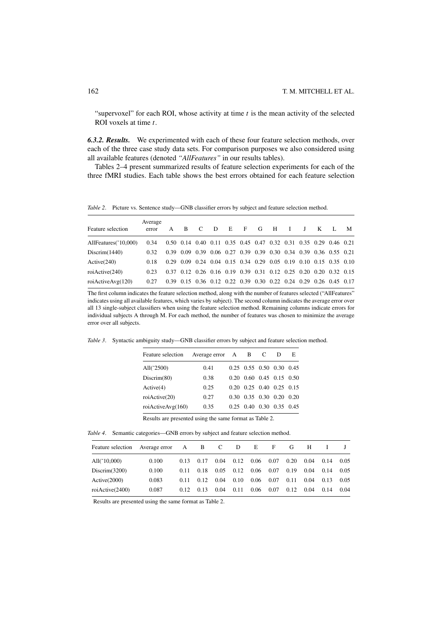"supervoxel" for each ROI, whose activity at time *t* is the mean activity of the selected ROI voxels at time *t*.

*6.3.2. Results.* We experimented with each of these four feature selection methods, over each of the three case study data sets. For comparison purposes we also considered using all available features (denoted *"AllFeatures"* in our results tables).

Tables 2–4 present summarized results of feature selection experiments for each of the three fMRI studies. Each table shows the best errors obtained for each feature selection

*Table 2*. Picture vs. Sentence study—GNB classifier errors by subject and feature selection method.

| Feature selection       | Average | A | <sup>B</sup> | C | $\mathbf{D}$ | E F | $\mathbf{G}$ | $_{\rm H}$ | $\blacksquare$ | J K L |                                                                  | M |
|-------------------------|---------|---|--------------|---|--------------|-----|--------------|------------|----------------|-------|------------------------------------------------------------------|---|
|                         | error   |   |              |   |              |     |              |            |                |       |                                                                  |   |
| AllFeatures $(510,000)$ | 0.34    |   |              |   |              |     |              |            |                |       | 0.50 0.14 0.40 0.11 0.35 0.45 0.47 0.32 0.31 0.35 0.29 0.46 0.21 |   |
| Discrim $(1440)$        | 0.32    |   |              |   |              |     |              |            |                |       | 0.39 0.09 0.39 0.06 0.27 0.39 0.39 0.30 0.34 0.39 0.36 0.55 0.21 |   |
| Active(240)             | 0.18    |   |              |   |              |     |              |            |                |       | 0.29 0.09 0.24 0.04 0.15 0.34 0.29 0.05 0.19 0.10 0.15 0.35 0.10 |   |
| roiActive(240)          | 0.23    |   |              |   |              |     |              |            |                |       | 0.37 0.12 0.26 0.16 0.19 0.39 0.31 0.12 0.25 0.20 0.20 0.32 0.15 |   |
| roi $ActiveAvg(120)$    | 0.27    |   |              |   |              |     |              |            |                |       | 0.39 0.15 0.36 0.12 0.22 0.39 0.30 0.22 0.24 0.29 0.26 0.45 0.17 |   |

The first column indicates the feature selection method, along with the number of features selected ("AllFeatures" indicates using all available features, which varies by subject). The second column indicates the average error over all 13 single-subject classifiers when using the feature selection method. Remaining columns indicate errors for individual subjects A through M. For each method, the number of features was chosen to minimize the average error over all subjects.

*Table 3*. Syntactic ambiguity study—GNB classifier errors by subject and feature selection method.

| Feature selection    | Average error A B |  |                                                    | D | E    |
|----------------------|-------------------|--|----------------------------------------------------|---|------|
| All $(^{2500})$      | 0.41              |  | 0.25 0.55 0.50 0.30 0.45                           |   |      |
| Discrim(80)          | 0.38              |  | $0.20\quad 0.60\quad 0.45\quad 0.15\quad 0.50$     |   |      |
| Active(4)            | 0.25              |  | $0.20 \quad 0.25 \quad 0.40 \quad 0.25 \quad 0.15$ |   |      |
| roiActive(20)        | 0.27              |  | 0.30 0.35 0.30 0.20                                |   | 0.20 |
| roi $ActiveAvg(160)$ | 0.35              |  | 0.25 0.40 0.30 0.35 0.45                           |   |      |

Results are presented using the same format as Table 2.

*Table 4*. Semantic categories—GNB errors by subject and feature selection method.

| Feature selection     | Average error A |      | B    | C    | D    | E    | F    | G    | н    |      |      |
|-----------------------|-----------------|------|------|------|------|------|------|------|------|------|------|
| All $(^{\sim}10,000)$ | 0.100           | 0.13 | 0.17 | 0.04 | 0.12 | 0.06 | 0.07 | 0.20 | 0.04 | 0.14 | 0.05 |
| Discrim $(3200)$      | 0.100           | 0.11 | 0.18 | 0.05 | 0.12 | 0.06 | 0.07 | 0.19 | 0.04 | 0.14 | 0.05 |
| Active(2000)          | 0.083           | 0.11 | 0.12 | 0.04 | 0.10 | 0.06 | 0.07 | 0.11 | 0.04 | 0.13 | 0.05 |
| roiActive(2400)       | 0.087           | 0.12 | 0.13 | 0.04 | 0.11 | 0.06 | 0.07 | 0.12 | 0.04 | 0.14 | 0.04 |

Results are presented using the same format as Table 2.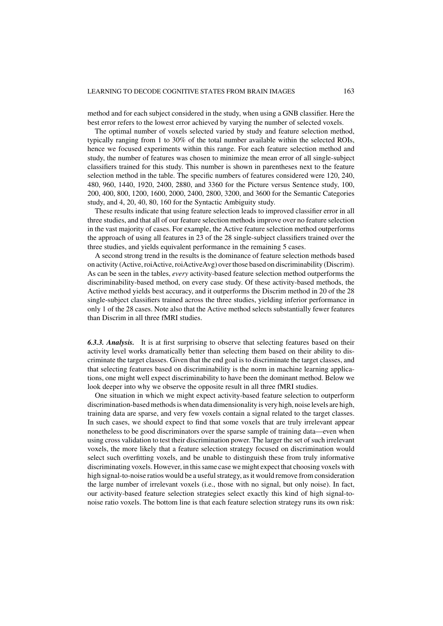method and for each subject considered in the study, when using a GNB classifier. Here the best error refers to the lowest error achieved by varying the number of selected voxels.

The optimal number of voxels selected varied by study and feature selection method, typically ranging from 1 to 30% of the total number available within the selected ROIs, hence we focused experiments within this range. For each feature selection method and study, the number of features was chosen to minimize the mean error of all single-subject classifiers trained for this study. This number is shown in parentheses next to the feature selection method in the table. The specific numbers of features considered were 120, 240, 480, 960, 1440, 1920, 2400, 2880, and 3360 for the Picture versus Sentence study, 100, 200, 400, 800, 1200, 1600, 2000, 2400, 2800, 3200, and 3600 for the Semantic Categories study, and 4, 20, 40, 80, 160 for the Syntactic Ambiguity study.

These results indicate that using feature selection leads to improved classifier error in all three studies, and that all of our feature selection methods improve over no feature selection in the vast majority of cases. For example, the Active feature selection method outperforms the approach of using all features in 23 of the 28 single-subject classifiers trained over the three studies, and yields equivalent performance in the remaining 5 cases.

A second strong trend in the results is the dominance of feature selection methods based on activity (Active, roiActive, roiActiveAvg) over those based on discriminability (Discrim). As can be seen in the tables, *every* activity-based feature selection method outperforms the discriminability-based method, on every case study. Of these activity-based methods, the Active method yields best accuracy, and it outperforms the Discrim method in 20 of the 28 single-subject classifiers trained across the three studies, yielding inferior performance in only 1 of the 28 cases. Note also that the Active method selects substantially fewer features than Discrim in all three fMRI studies.

*6.3.3. Analysis.* It is at first surprising to observe that selecting features based on their activity level works dramatically better than selecting them based on their ability to discriminate the target classes. Given that the end goal is to discriminate the target classes, and that selecting features based on discriminability is the norm in machine learning applications, one might well expect discriminability to have been the dominant method. Below we look deeper into why we observe the opposite result in all three fMRI studies.

One situation in which we might expect activity-based feature selection to outperform discrimination-based methods is when data dimensionality is very high, noise levels are high, training data are sparse, and very few voxels contain a signal related to the target classes. In such cases, we should expect to find that some voxels that are truly irrelevant appear nonetheless to be good discriminators over the sparse sample of training data—even when using cross validation to test their discrimination power. The larger the set of such irrelevant voxels, the more likely that a feature selection strategy focused on discrimination would select such overfitting voxels, and be unable to distinguish these from truly informative discriminating voxels. However, in this same case we might expect that choosing voxels with high signal-to-noise ratios would be a useful strategy, as it would remove from consideration the large number of irrelevant voxels (i.e., those with no signal, but only noise). In fact, our activity-based feature selection strategies select exactly this kind of high signal-tonoise ratio voxels. The bottom line is that each feature selection strategy runs its own risk: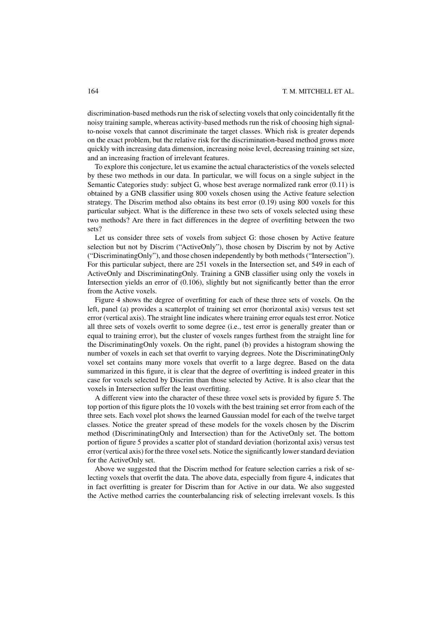discrimination-based methods run the risk of selecting voxels that only coincidentally fit the noisy training sample, whereas activity-based methods run the risk of choosing high signalto-noise voxels that cannot discriminate the target classes. Which risk is greater depends on the exact problem, but the relative risk for the discrimination-based method grows more quickly with increasing data dimension, increasing noise level, decreasing training set size, and an increasing fraction of irrelevant features.

To explore this conjecture, let us examine the actual characteristics of the voxels selected by these two methods in our data. In particular, we will focus on a single subject in the Semantic Categories study: subject G, whose best average normalized rank error (0.11) is obtained by a GNB classifier using 800 voxels chosen using the Active feature selection strategy. The Discrim method also obtains its best error (0.19) using 800 voxels for this particular subject. What is the difference in these two sets of voxels selected using these two methods? Are there in fact differences in the degree of overfitting between the two sets?

Let us consider three sets of voxels from subject G: those chosen by Active feature selection but not by Discrim ("ActiveOnly"), those chosen by Discrim by not by Active ("DiscriminatingOnly"), and those chosen independently by both methods ("Intersection"). For this particular subject, there are 251 voxels in the Intersection set, and 549 in each of ActiveOnly and DiscriminatingOnly. Training a GNB classifier using only the voxels in Intersection yields an error of (0.106), slightly but not significantly better than the error from the Active voxels.

Figure 4 shows the degree of overfitting for each of these three sets of voxels. On the left, panel (a) provides a scatterplot of training set error (horizontal axis) versus test set error (vertical axis). The straight line indicates where training error equals test error. Notice all three sets of voxels overfit to some degree (i.e., test error is generally greater than or equal to training error), but the cluster of voxels ranges furthest from the straight line for the DiscriminatingOnly voxels. On the right, panel (b) provides a histogram showing the number of voxels in each set that overfit to varying degrees. Note the DiscriminatingOnly voxel set contains many more voxels that overfit to a large degree. Based on the data summarized in this figure, it is clear that the degree of overfitting is indeed greater in this case for voxels selected by Discrim than those selected by Active. It is also clear that the voxels in Intersection suffer the least overfitting.

A different view into the character of these three voxel sets is provided by figure 5. The top portion of this figure plots the 10 voxels with the best training set error from each of the three sets. Each voxel plot shows the learned Gaussian model for each of the twelve target classes. Notice the greater spread of these models for the voxels chosen by the Discrim method (DiscriminatingOnly and Intersection) than for the ActiveOnly set. The bottom portion of figure 5 provides a scatter plot of standard deviation (horizontal axis) versus test error (vertical axis) for the three voxel sets. Notice the significantly lower standard deviation for the ActiveOnly set.

Above we suggested that the Discrim method for feature selection carries a risk of selecting voxels that overfit the data. The above data, especially from figure 4, indicates that in fact overfitting is greater for Discrim than for Active in our data. We also suggested the Active method carries the counterbalancing risk of selecting irrelevant voxels. Is this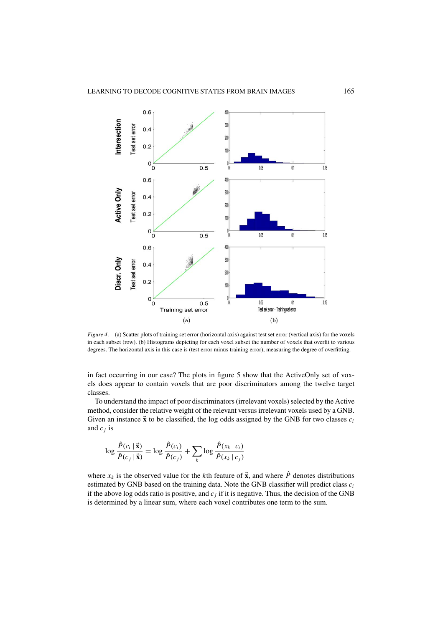

*Figure 4*. (a) Scatter plots of training set error (horizontal axis) against test set error (vertical axis) for the voxels in each subset (row). (b) Histograms depicting for each voxel subset the number of voxels that overfit to various degrees. The horizontal axis in this case is (test error minus training error), measuring the degree of overfitting.

in fact occurring in our case? The plots in figure 5 show that the ActiveOnly set of voxels does appear to contain voxels that are poor discriminators among the twelve target classes.

To understand the impact of poor discriminators (irrelevant voxels) selected by the Active method, consider the relative weight of the relevant versus irrelevant voxels used by a GNB. Given an instance  $\vec{x}$  to be classified, the log odds assigned by the GNB for two classes  $c_i$ and  $c_j$  is

$$
\log \frac{\hat{P}(c_i \mid \vec{\mathbf{x}})}{\hat{P}(c_j \mid \vec{\mathbf{x}})} = \log \frac{\hat{P}(c_i)}{\hat{P}(c_j)} + \sum_k \log \frac{\hat{P}(x_k \mid c_i)}{\hat{P}(x_k \mid c_j)}
$$

where  $x_k$  is the observed value for the *k*th feature of  $\vec{x}$ , and where  $\hat{P}$  denotes distributions estimated by GNB based on the training data. Note the GNB classifier will predict class *ci* if the above log odds ratio is positive, and  $c_j$  if it is negative. Thus, the decision of the GNB is determined by a linear sum, where each voxel contributes one term to the sum.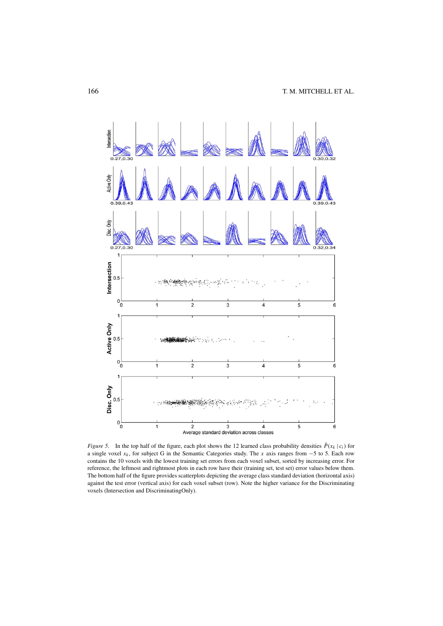

*Figure 5*. In the top half of the figure, each plot shows the 12 learned class probability densities  $\hat{P}(x_k | c_i)$  for a single voxel *xk* , for subject G in the Semantic Categories study. The *x* axis ranges from −5 to 5. Each row contains the 10 voxels with the lowest training set errors from each voxel subset, sorted by increasing error. For reference, the leftmost and rightmost plots in each row have their (training set, test set) error values below them. The bottom half of the figure provides scatterplots depicting the average class standard deviation (horizontal axis) against the test error (vertical axis) for each voxel subset (row). Note the higher variance for the Discriminating voxels (Intersection and DiscriminatingOnly).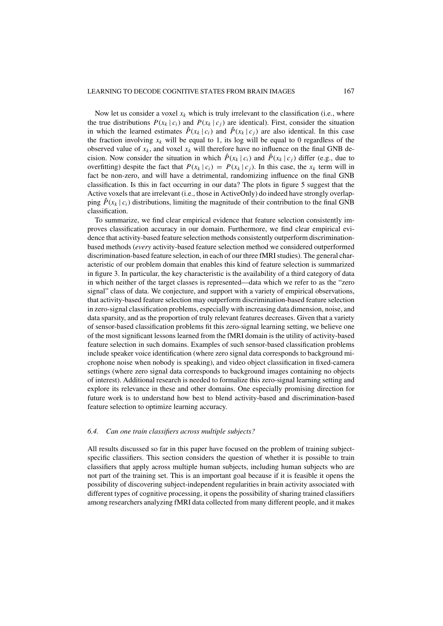Now let us consider a voxel  $x_k$  which is truly irrelevant to the classification (i.e., where the true distributions  $P(x_k | c_i)$  and  $P(x_k | c_i)$  are identical). First, consider the situation in which the learned estimates  $\hat{P}(x_k | c_i)$  and  $\hat{P}(x_k | c_i)$  are also identical. In this case the fraction involving  $x_k$  will be equal to 1, its log will be equal to 0 regardless of the observed value of  $x_k$ , and voxel  $x_k$  will therefore have no influence on the final GNB decision. Now consider the situation in which  $\hat{P}(x_k | c_i)$  and  $\hat{P}(x_k | c_i)$  differ (e.g., due to overfitting) despite the fact that  $P(x_k | c_i) = P(x_k | c_i)$ . In this case, the  $x_k$  term will in fact be non-zero, and will have a detrimental, randomizing influence on the final GNB classification. Is this in fact occurring in our data? The plots in figure 5 suggest that the Active voxels that are irrelevant (i.e., those in ActiveOnly) do indeed have strongly overlapping  $\hat{P}(x_k | c_i)$  distributions, limiting the magnitude of their contribution to the final GNB classification.

To summarize, we find clear empirical evidence that feature selection consistently improves classification accuracy in our domain. Furthermore, we find clear empirical evidence that activity-based feature selection methods consistently outperform discriminationbased methods (*every* activity-based feature selection method we considered outperformed discrimination-based feature selection, in each of our three fMRI studies). The general characteristic of our problem domain that enables this kind of feature selection is summarized in figure 3. In particular, the key characteristic is the availability of a third category of data in which neither of the target classes is represented—data which we refer to as the "zero signal" class of data. We conjecture, and support with a variety of empirical observations, that activity-based feature selection may outperform discrimination-based feature selection in zero-signal classification problems, especially with increasing data dimension, noise, and data sparsity, and as the proportion of truly relevant features decreases. Given that a variety of sensor-based classification problems fit this zero-signal learning setting, we believe one of the most significant lessons learned from the fMRI domain is the utility of activity-based feature selection in such domains. Examples of such sensor-based classification problems include speaker voice identification (where zero signal data corresponds to background microphone noise when nobody is speaking), and video object classification in fixed-camera settings (where zero signal data corresponds to background images containing no objects of interest). Additional research is needed to formalize this zero-signal learning setting and explore its relevance in these and other domains. One especially promising direction for future work is to understand how best to blend activity-based and discrimination-based feature selection to optimize learning accuracy.

## *6.4. Can one train classifiers across multiple subjects?*

All results discussed so far in this paper have focused on the problem of training subjectspecific classifiers. This section considers the question of whether it is possible to train classifiers that apply across multiple human subjects, including human subjects who are not part of the training set. This is an important goal because if it is feasible it opens the possibility of discovering subject-independent regularities in brain activity associated with different types of cognitive processing, it opens the possibility of sharing trained classifiers among researchers analyzing fMRI data collected from many different people, and it makes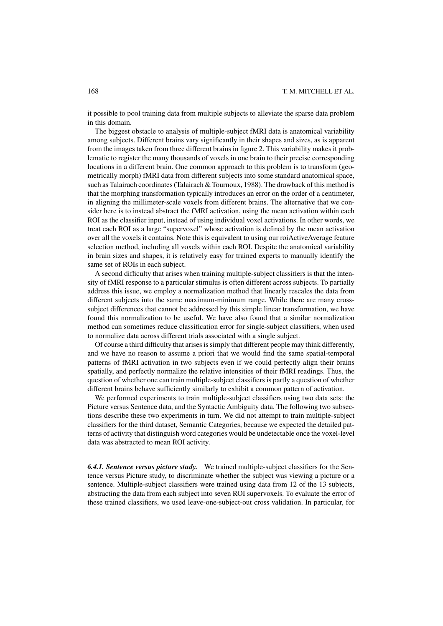it possible to pool training data from multiple subjects to alleviate the sparse data problem in this domain.

The biggest obstacle to analysis of multiple-subject fMRI data is anatomical variability among subjects. Different brains vary significantly in their shapes and sizes, as is apparent from the images taken from three different brains in figure 2. This variability makes it problematic to register the many thousands of voxels in one brain to their precise corresponding locations in a different brain. One common approach to this problem is to transform (geometrically morph) fMRI data from different subjects into some standard anatomical space, such as Talairach coordinates (Talairach & Tournoux, 1988). The drawback of this method is that the morphing transformation typically introduces an error on the order of a centimeter, in aligning the millimeter-scale voxels from different brains. The alternative that we consider here is to instead abstract the fMRI activation, using the mean activation within each ROI as the classifier input, instead of using individual voxel activations. In other words, we treat each ROI as a large "supervoxel" whose activation is defined by the mean activation over all the voxels it contains. Note this is equivalent to using our roiActiveAverage feature selection method, including all voxels within each ROI. Despite the anatomical variability in brain sizes and shapes, it is relatively easy for trained experts to manually identify the same set of ROIs in each subject.

A second difficulty that arises when training multiple-subject classifiers is that the intensity of fMRI response to a particular stimulus is often different across subjects. To partially address this issue, we employ a normalization method that linearly rescales the data from different subjects into the same maximum-minimum range. While there are many crosssubject differences that cannot be addressed by this simple linear transformation, we have found this normalization to be useful. We have also found that a similar normalization method can sometimes reduce classification error for single-subject classifiers, when used to normalize data across different trials associated with a single subject.

Of course a third difficulty that arises is simply that different people may think differently, and we have no reason to assume a priori that we would find the same spatial-temporal patterns of fMRI activation in two subjects even if we could perfectly align their brains spatially, and perfectly normalize the relative intensities of their fMRI readings. Thus, the question of whether one can train multiple-subject classifiers is partly a question of whether different brains behave sufficiently similarly to exhibit a common pattern of activation.

We performed experiments to train multiple-subject classifiers using two data sets: the Picture versus Sentence data, and the Syntactic Ambiguity data. The following two subsections describe these two experiments in turn. We did not attempt to train multiple-subject classifiers for the third dataset, Semantic Categories, because we expected the detailed patterns of activity that distinguish word categories would be undetectable once the voxel-level data was abstracted to mean ROI activity.

*6.4.1. Sentence versus picture study.* We trained multiple-subject classifiers for the Sentence versus Picture study, to discriminate whether the subject was viewing a picture or a sentence. Multiple-subject classifiers were trained using data from 12 of the 13 subjects, abstracting the data from each subject into seven ROI supervoxels. To evaluate the error of these trained classifiers, we used leave-one-subject-out cross validation. In particular, for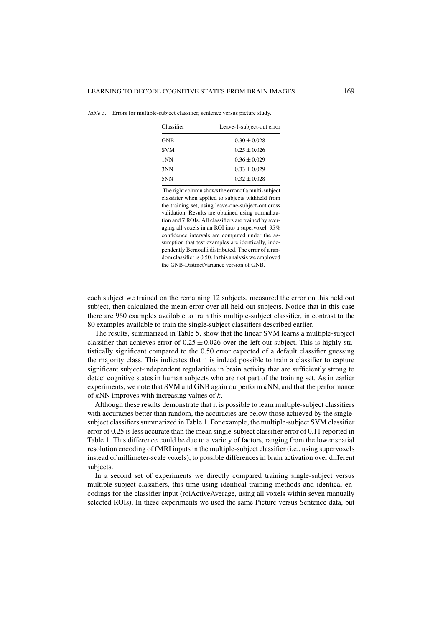*Table 5*. Errors for multiple-subject classifier, sentence versus picture study.

| Classifier | Leave-1-subject-out error |
|------------|---------------------------|
| <b>GNB</b> | $0.30 \pm 0.028$          |
| SVM        | $0.25 \pm 0.026$          |
| 1NN        | $0.36 \pm 0.029$          |
| 3NN        | $0.33 + 0.029$            |
| 5NN        | $0.32 \pm 0.028$          |

The right column shows the error of a multi-subject classifier when applied to subjects withheld from the training set, using leave-one-subject-out cross validation. Results are obtained using normalization and 7 ROIs. All classifiers are trained by averaging all voxels in an ROI into a supervoxel. 95% confidence intervals are computed under the assumption that test examples are identically, independently Bernoulli distributed. The error of a random classifier is 0.50. In this analysis we employed the GNB-DistinctVariance version of GNB.

each subject we trained on the remaining 12 subjects, measured the error on this held out subject, then calculated the mean error over all held out subjects. Notice that in this case there are 960 examples available to train this multiple-subject classifier, in contrast to the 80 examples available to train the single-subject classifiers described earlier.

The results, summarized in Table 5, show that the linear SVM learns a multiple-subject classifier that achieves error of  $0.25 \pm 0.026$  over the left out subject. This is highly statistically significant compared to the 0.50 error expected of a default classifier guessing the majority class. This indicates that it is indeed possible to train a classifier to capture significant subject-independent regularities in brain activity that are sufficiently strong to detect cognitive states in human subjects who are not part of the training set. As in earlier experiments, we note that SVM and GNB again outperform *k*NN, and that the performance of *k*NN improves with increasing values of *k*.

Although these results demonstrate that it is possible to learn multiple-subject classifiers with accuracies better than random, the accuracies are below those achieved by the singlesubject classifiers summarized in Table 1. For example, the multiple-subject SVM classifier error of 0.25 is less accurate than the mean single-subject classifier error of 0.11 reported in Table 1. This difference could be due to a variety of factors, ranging from the lower spatial resolution encoding of fMRI inputs in the multiple-subject classifier (i.e., using supervoxels instead of millimeter-scale voxels), to possible differences in brain activation over different subjects.

In a second set of experiments we directly compared training single-subject versus multiple-subject classifiers, this time using identical training methods and identical encodings for the classifier input (roiActiveAverage, using all voxels within seven manually selected ROIs). In these experiments we used the same Picture versus Sentence data, but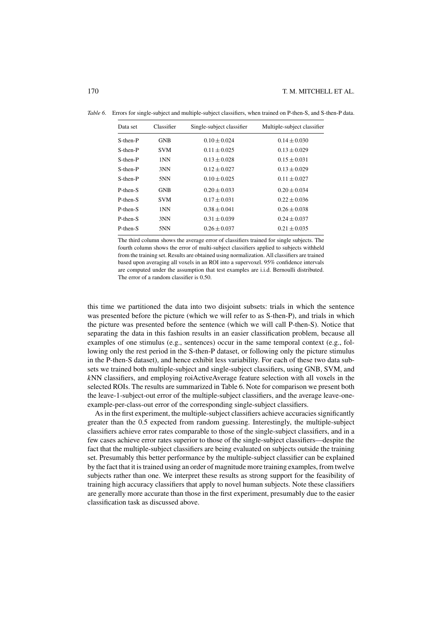| Data set | Classifier | Single-subject classifier | Multiple-subject classifier |
|----------|------------|---------------------------|-----------------------------|
| S-then-P | <b>GNB</b> | $0.10 \pm 0.024$          | $0.14 \pm 0.030$            |
| S-then-P | <b>SVM</b> | $0.11 \pm 0.025$          | $0.13 \pm 0.029$            |
| S-then-P | 1NN        | $0.13 \pm 0.028$          | $0.15 \pm 0.031$            |
| S-then-P | 3NN        | $0.12 \pm 0.027$          | $0.13 \pm 0.029$            |
| S-then-P | 5NN        | $0.10 \pm 0.025$          | $0.11 \pm 0.027$            |
| P-then-S | <b>GNB</b> | $0.20 \pm 0.033$          | $0.20 \pm 0.034$            |
| P-then-S | <b>SVM</b> | $0.17 \pm 0.031$          | $0.22 \pm 0.036$            |
| P-then-S | 1NN        | $0.38 \pm 0.041$          | $0.26 \pm 0.038$            |
| P-then-S | 3NN        | $0.31 \pm 0.039$          | $0.24 \pm 0.037$            |
| P-then-S | 5NN        | $0.26 \pm 0.037$          | $0.21 \pm 0.035$            |

*Table 6*. Errors for single-subject and multiple-subject classifiers, when trained on P-then-S, and S-then-P data.

The third column shows the average error of classifiers trained for single subjects. The fourth column shows the error of multi-subject classifiers applied to subjects withheld from the training set. Results are obtained using normalization. All classifiers are trained based upon averaging all voxels in an ROI into a supervoxel. 95% confidence intervals are computed under the assumption that test examples are i.i.d. Bernoulli distributed. The error of a random classifier is 0.50.

this time we partitioned the data into two disjoint subsets: trials in which the sentence was presented before the picture (which we will refer to as S-then-P), and trials in which the picture was presented before the sentence (which we will call P-then-S). Notice that separating the data in this fashion results in an easier classification problem, because all examples of one stimulus (e.g., sentences) occur in the same temporal context (e.g., following only the rest period in the S-then-P dataset, or following only the picture stimulus in the P-then-S dataset), and hence exhibit less variability. For each of these two data subsets we trained both multiple-subject and single-subject classifiers, using GNB, SVM, and *k*NN classifiers, and employing roiActiveAverage feature selection with all voxels in the selected ROIs. The results are summarized in Table 6. Note for comparison we present both the leave-1-subject-out error of the multiple-subject classifiers, and the average leave-oneexample-per-class-out error of the corresponding single-subject classifiers.

As in the first experiment, the multiple-subject classifiers achieve accuracies significantly greater than the 0.5 expected from random guessing. Interestingly, the multiple-subject classifiers achieve error rates comparable to those of the single-subject classifiers, and in a few cases achieve error rates superior to those of the single-subject classifiers—despite the fact that the multiple-subject classifiers are being evaluated on subjects outside the training set. Presumably this better performance by the multiple-subject classifier can be explained by the fact that it is trained using an order of magnitude more training examples, from twelve subjects rather than one. We interpret these results as strong support for the feasibility of training high accuracy classifiers that apply to novel human subjects. Note these classifiers are generally more accurate than those in the first experiment, presumably due to the easier classification task as discussed above.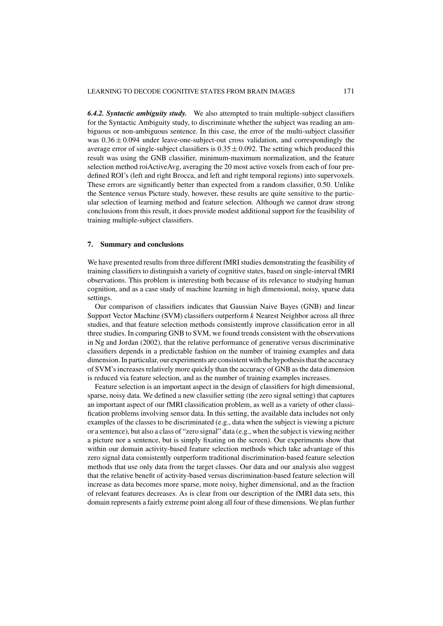*6.4.2. Syntactic ambiguity study.* We also attempted to train multiple-subject classifiers for the Syntactic Ambiguity study, to discriminate whether the subject was reading an ambiguous or non-ambiguous sentence. In this case, the error of the multi-subject classifier was  $0.36 \pm 0.094$  under leave-one-subject-out cross validation, and correspondingly the average error of single-subject classifiers is  $0.35 \pm 0.092$ . The setting which produced this result was using the GNB classifier, minimum-maximum normalization, and the feature selection method roiActiveAvg, averaging the 20 most active voxels from each of four predefined ROI's (left and right Brocca, and left and right temporal regions) into supervoxels. These errors are significantly better than expected from a random classifier, 0.50. Unlike the Sentence versus Picture study, however, these results are quite sensitive to the particular selection of learning method and feature selection. Although we cannot draw strong conclusions from this result, it does provide modest additional support for the feasibility of training multiple-subject classifiers.

#### **7. Summary and conclusions**

We have presented results from three different fMRI studies demonstrating the feasibility of training classifiers to distinguish a variety of cognitive states, based on single-interval fMRI observations. This problem is interesting both because of its relevance to studying human cognition, and as a case study of machine learning in high dimensional, noisy, sparse data settings.

Our comparison of classifiers indicates that Gaussian Naive Bayes (GNB) and linear Support Vector Machine (SVM) classifiers outperform *k* Nearest Neighbor across all three studies, and that feature selection methods consistently improve classification error in all three studies. In comparing GNB to SVM, we found trends consistent with the observations in Ng and Jordan (2002), that the relative performance of generative versus discriminative classifiers depends in a predictable fashion on the number of training examples and data dimension. In particular, our experiments are consistent with the hypothesis that the accuracy of SVM's increases relatively more quickly than the accuracy of GNB as the data dimension is reduced via feature selection, and as the number of training examples increases.

Feature selection is an important aspect in the design of classifiers for high dimensional, sparse, noisy data. We defined a new classifier setting (the zero signal setting) that captures an important aspect of our fMRI classification problem, as well as a variety of other classification problems involving sensor data. In this setting, the available data includes not only examples of the classes to be discriminated (e.g., data when the subject is viewing a picture or a sentence), but also a class of "zero signal" data (e.g., when the subject is viewing neither a picture nor a sentence, but is simply fixating on the screen). Our experiments show that within our domain activity-based feature selection methods which take advantage of this zero signal data consistently outperform traditional discrimination-based feature selection methods that use only data from the target classes. Our data and our analysis also suggest that the relative benefit of activity-based versus discrimination-based feature selection will increase as data becomes more sparse, more noisy, higher dimensional, and as the fraction of relevant features decreases. As is clear from our description of the fMRI data sets, this domain represents a fairly extreme point along all four of these dimensions. We plan further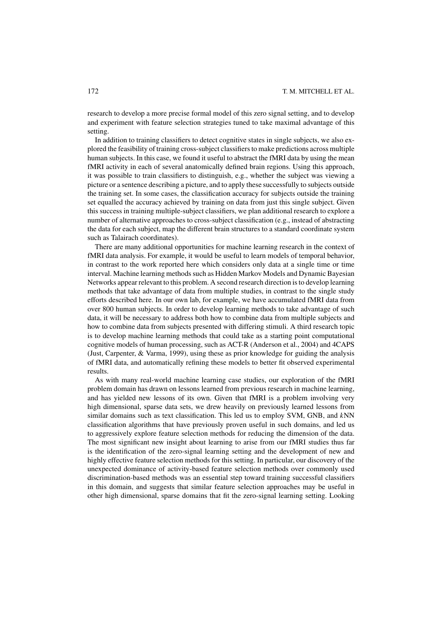research to develop a more precise formal model of this zero signal setting, and to develop and experiment with feature selection strategies tuned to take maximal advantage of this setting.

In addition to training classifiers to detect cognitive states in single subjects, we also explored the feasibility of training cross-subject classifiers to make predictions across multiple human subjects. In this case, we found it useful to abstract the fMRI data by using the mean fMRI activity in each of several anatomically defined brain regions. Using this approach, it was possible to train classifiers to distinguish, e.g., whether the subject was viewing a picture or a sentence describing a picture, and to apply these successfully to subjects outside the training set. In some cases, the classification accuracy for subjects outside the training set equalled the accuracy achieved by training on data from just this single subject. Given this success in training multiple-subject classifiers, we plan additional research to explore a number of alternative approaches to cross-subject classification (e.g., instead of abstracting the data for each subject, map the different brain structures to a standard coordinate system such as Talairach coordinates).

There are many additional opportunities for machine learning research in the context of fMRI data analysis. For example, it would be useful to learn models of temporal behavior, in contrast to the work reported here which considers only data at a single time or time interval. Machine learning methods such as Hidden Markov Models and Dynamic Bayesian Networks appear relevant to this problem. A second research direction is to develop learning methods that take advantage of data from multiple studies, in contrast to the single study efforts described here. In our own lab, for example, we have accumulated fMRI data from over 800 human subjects. In order to develop learning methods to take advantage of such data, it will be necessary to address both how to combine data from multiple subjects and how to combine data from subjects presented with differing stimuli. A third research topic is to develop machine learning methods that could take as a starting point computational cognitive models of human processing, such as ACT-R (Anderson et al., 2004) and 4CAPS (Just, Carpenter, & Varma, 1999), using these as prior knowledge for guiding the analysis of fMRI data, and automatically refining these models to better fit observed experimental results.

As with many real-world machine learning case studies, our exploration of the fMRI problem domain has drawn on lessons learned from previous research in machine learning, and has yielded new lessons of its own. Given that fMRI is a problem involving very high dimensional, sparse data sets, we drew heavily on previously learned lessons from similar domains such as text classification. This led us to employ SVM, GNB, and *k*NN classification algorithms that have previously proven useful in such domains, and led us to aggressively explore feature selection methods for reducing the dimension of the data. The most significant new insight about learning to arise from our fMRI studies thus far is the identification of the zero-signal learning setting and the development of new and highly effective feature selection methods for this setting. In particular, our discovery of the unexpected dominance of activity-based feature selection methods over commonly used discrimination-based methods was an essential step toward training successful classifiers in this domain, and suggests that similar feature selection approaches may be useful in other high dimensional, sparse domains that fit the zero-signal learning setting. Looking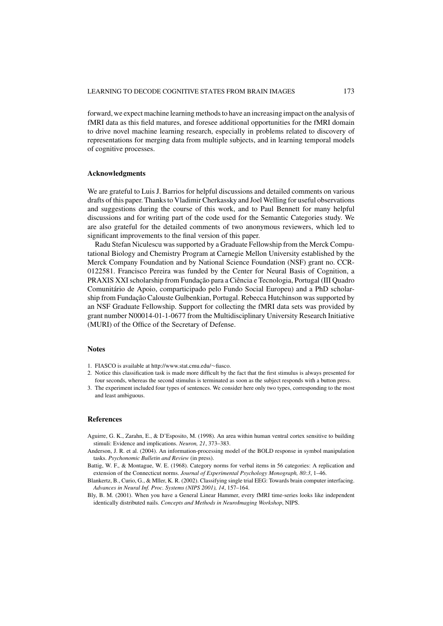forward, we expect machine learning methods to have an increasing impact on the analysis of fMRI data as this field matures, and foresee additional opportunities for the fMRI domain to drive novel machine learning research, especially in problems related to discovery of representations for merging data from multiple subjects, and in learning temporal models of cognitive processes.

#### **Acknowledgments**

We are grateful to Luis J. Barrios for helpful discussions and detailed comments on various drafts of this paper. Thanks to Vladimir Cherkassky and Joel Welling for useful observations and suggestions during the course of this work, and to Paul Bennett for many helpful discussions and for writing part of the code used for the Semantic Categories study. We are also grateful for the detailed comments of two anonymous reviewers, which led to significant improvements to the final version of this paper.

Radu Stefan Niculescu was supported by a Graduate Fellowship from the Merck Computational Biology and Chemistry Program at Carnegie Mellon University established by the Merck Company Foundation and by National Science Foundation (NSF) grant no. CCR-0122581. Francisco Pereira was funded by the Center for Neural Basis of Cognition, a PRAXIS XXI scholarship from Fundação para a Ciência e Tecnologia, Portugal (III Quadro Comunitário de Apoio, comparticipado pelo Fundo Social Europeu) and a PhD scholarship from Fundação Calouste Gulbenkian, Portugal. Rebecca Hutchinson was supported by an NSF Graduate Fellowship. Support for collecting the fMRI data sets was provided by grant number N00014-01-1-0677 from the Multidisciplinary University Research Initiative (MURI) of the Office of the Secretary of Defense.

#### **Notes**

- 1. FIASCO is available at http://www.stat.cmu.edu/∼fiasco.
- 2. Notice this classification task is made more difficult by the fact that the first stimulus is always presented for four seconds, whereas the second stimulus is terminated as soon as the subject responds with a button press.
- 3. The experiment included four types of sentences. We consider here only two types, corresponding to the most and least ambiguous.

## **References**

- Aguirre, G. K., Zarahn, E., & D'Esposito, M. (1998). An area within human ventral cortex sensitive to building stimuli: Evidence and implications. *Neuron, 21*, 373–383.
- Anderson, J. R. et al. (2004). An information-processing model of the BOLD response in symbol manipulation tasks. *Psychonomic Bulletin and Review* (in press).
- Battig, W. F., & Montague, W. E. (1968). Category norms for verbal items in 56 categories: A replication and extension of the Connecticut norms. *Journal of Experimental Psychology Monograph, 80:3*, 1–46.
- Blankertz, B., Curio, G., & Mller, K. R. (2002). Classifying single trial EEG: Towards brain computer interfacing. *Advances in Neural Inf. Proc. Systems (NIPS 2001), 14*, 157–164.
- Bly, B. M. (2001). When you have a General Linear Hammer, every fMRI time-series looks like independent identically distributed nails. *Concepts and Methods in NeuroImaging Workshop*, NIPS.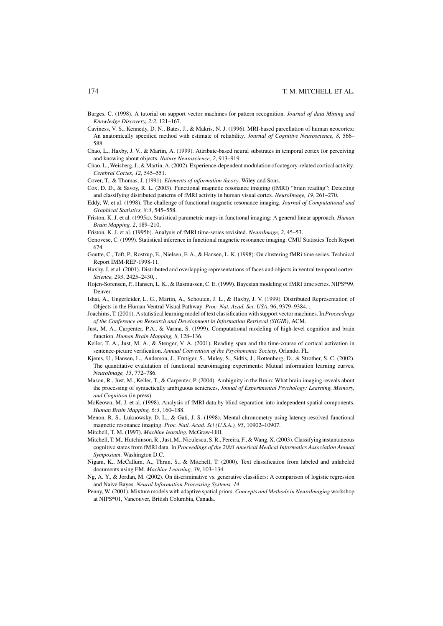#### 174 T. M. MITCHELL ET AL.

- Burges, C. (1998). A tutorial on support vector machines for pattern recognition. *Journal of data Mining and Knowledge Discovery, 2:2*, 121–167.
- Caviness, V. S., Kennedy, D. N., Bates, J., & Makris, N. J. (1996). MRI-based parcellation of human neocortex: An anatomically specified method with estimate of reliability. *Journal of Cognitive Neuroscience, 8*, 566– 588.
- Chao, L., Haxby, J. V., & Martin, A. (1999). Attribute-based neural substrates in temporal cortex for perceiving and knowing about objects. *Nature Neuroscience, 2*, 913–919.
- Chao, L., Weisberg, J., & Martin, A. (2002). Experience-dependent modulation of category-related cortical activity. *Cerebral Cortex, 12*, 545–551.

Cover, T., & Thomas, J. (1991). *Elements of information theory*. Wiley and Sons.

- Cox, D. D., & Savoy, R. L. (2003). Functional magnetic resonance imaging (fMRI) "brain reading": Detecting and classifying distributed patterns of fMRI activity in human visual cortex. *NeuroImage, 19*, 261–270.
- Eddy, W. et al. (1998). The challenge of functional magnetic resonance imaging. *Journal of Computational and Graphical Statistics, 8:3*, 545–558.
- Friston, K. J. et al. (1995a). Statistical parametric maps in functional imaging: A general linear approach. *Human Brain Mapping, 2*, 189–210,
- Friston, K. J. et al. (1995b). Analysis of fMRI time-series revisited. *NeuroImage, 2*, 45–53.
- Genovese, C. (1999). Statistical inference in functional magnetic resonance imaging. CMU Statistics Tech Report 674.
- Goutte, C., Toft, P., Rostrup, E., Nielsen, F. A., & Hansen, L. K. (1998). On clustering fMRi time series. Technical Report IMM-REP-1998-11.
- Haxby, J. et al. (2001). Distributed and overlapping representations of faces and objects in ventral temporal cortex. *Science, 293*, 2425–2430, .
- Hojen-Sorensen, P., Hansen, L. K., & Rasmussen, C. E. (1999). Bayesian modeling of fMRI time series. NIPS\*99. Denver.
- Ishai, A., Ungerleider, L. G., Martin, A., Schouten, J. L., & Haxby, J. V. (1999). Distributed Representation of Objects in the Human Ventral Visual Pathway. *Proc. Nat. Acad. Sci. USA*, 96, 9379–9384, .
- Joachims, T. (2001). A statistical learning model of text classification with support vector machines. In *Proceedings of the Conference on Research and Development in Information Retrieval (SIGIR)*, ACM.
- Just, M. A., Carpenter, P.A., & Varma, S. (1999). Computational modeling of high-level cognition and brain function. *Human Brain Mapping, 8*, 128–136.
- Keller, T. A., Just, M. A., & Stenger, V. A. (2001). Reading span and the time-course of cortical activation in sentence-picture verification. *Annual Convention of the Psychonomic Society*, Orlando, FL.
- Kjems, U., Hansen, L., Anderson, J., Frutiger, S., Muley, S., Sidtis, J., Rottenberg, D., & Strother, S. C. (2002). The quantitative evalutation of functional neuroimaging experiments: Mutual information learning curves, *NeuroImage, 15*, 772–786.
- Mason, R., Just, M., Keller, T., & Carpenter, P. (2004). Ambiguity in the Brain: What brain imaging reveals about the processing of syntactically ambiguous sentences, *Jounal of Experimental Psychology: Learning, Memory, and Cognition* (in press).
- McKeown, M. J. et al. (1998). Analysis of fMRI data by blind separation into independent spatial components. *Human Brain Mapping, 6:3*, 160–188.
- Menon, R. S., Luknowsky, D. L., & Gati, J. S. (1998). Mental chronometry using latency-resolved functional magnetic resonance imaging. *Proc. Natl. Acad. Sci (U.S.A.), 95*, 10902–10907.
- Mitchell, T. M. (1997). *Machine learning*. McGraw-Hill.
- Mitchell, T. M., Hutchinson, R., Just, M., Niculescu, S. R., Pereira, F., & Wang, X. (2003). Classifying instantaneous cognitive states from fMRI data. In *Proceedings of the 2003 Americal Medical Informatics Association Annual Symposium*. Washington D.C.
- Nigam, K., McCallum, A., Thrun, S., & Mitchell, T. (2000). Text classification from labeled and unlabeled documents using EM. *Machine Learning, 39*, 103–134.
- Ng, A. Y., & Jordan, M. (2002). On discriminative vs. generative classifiers: A comparison of logistic regression and Naive Bayes. *Neural Information Processing Systems, 14*.
- Penny, W. (2001). Mixture models with adaptive spatial priors. *Concepts and Methods in NeuroImaging* workshop at NIPS\*01, Vancouver, British Columbia, Canada.